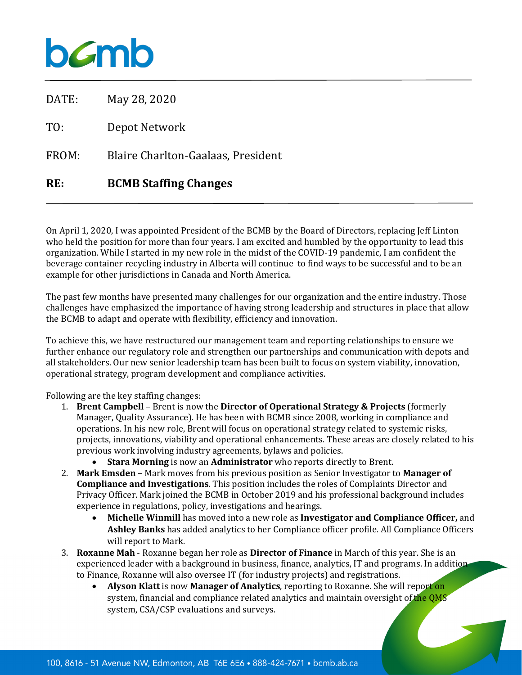## bamb

| RE:   | <b>BCMB Staffing Changes</b>       |
|-------|------------------------------------|
| FROM: | Blaire Charlton-Gaalaas, President |
| T0:   | Depot Network                      |
| DATE: | May 28, 2020                       |

On April 1, 2020, I was appointed President of the BCMB by the Board of Directors, replacing Jeff Linton who held the position for more than four years. I am excited and humbled by the opportunity to lead this organization. While I started in my new role in the midst of the COVID-19 pandemic, I am confident the beverage container recycling industry in Alberta will continue to find ways to be successful and to be an example for other jurisdictions in Canada and North America.

The past few months have presented many challenges for our organization and the entire industry. Those challenges have emphasized the importance of having strong leadership and structures in place that allow the BCMB to adapt and operate with flexibility, efficiency and innovation.

To achieve this, we have restructured our management team and reporting relationships to ensure we further enhance our regulatory role and strengthen our partnerships and communication with depots and all stakeholders. Our new senior leadership team has been built to focus on system viability, innovation, operational strategy, program development and compliance activities.

Following are the key staffing changes:

- 1. **Brent Campbell** Brent is now the **Director of Operational Strategy & Projects** (formerly Manager, Quality Assurance). He has been with BCMB since 2008, working in compliance and operations. In his new role, Brent will focus on operational strategy related to systemic risks, projects, innovations, viability and operational enhancements. These areas are closely related to his previous work involving industry agreements, bylaws and policies.
	- **Stara Morning** is now an **Administrator** who reports directly to Brent.
- 2. **Mark Emsden** Mark moves from his previous position as Senior Investigator to **Manager of Compliance and Investigations**. This position includes the roles of Complaints Director and Privacy Officer. Mark joined the BCMB in October 2019 and his professional background includes experience in regulations, policy, investigations and hearings.
	- **Michelle Winmill** has moved into a new role as **Investigator and Compliance Officer,** and **Ashley Banks** has added analytics to her Compliance officer profile. All Compliance Officers will report to Mark.
- 3. **Roxanne Mah** Roxanne began her role as **Director of Finance** in March of this year. She is an experienced leader with a background in business, finance, analytics, IT and programs. In addition to Finance, Roxanne will also oversee IT (for industry projects) and registrations.<br>• Alvson Klatt is now Manager of Analytics, reporting to Roxanne. She wil
	- **Alyson Klatt** is now **Manager of Analytics**, reporting to Roxanne. She will report on system, financial and compliance related analytics and maintain oversight of the QMS system, CSA/CSP evaluations and surveys.